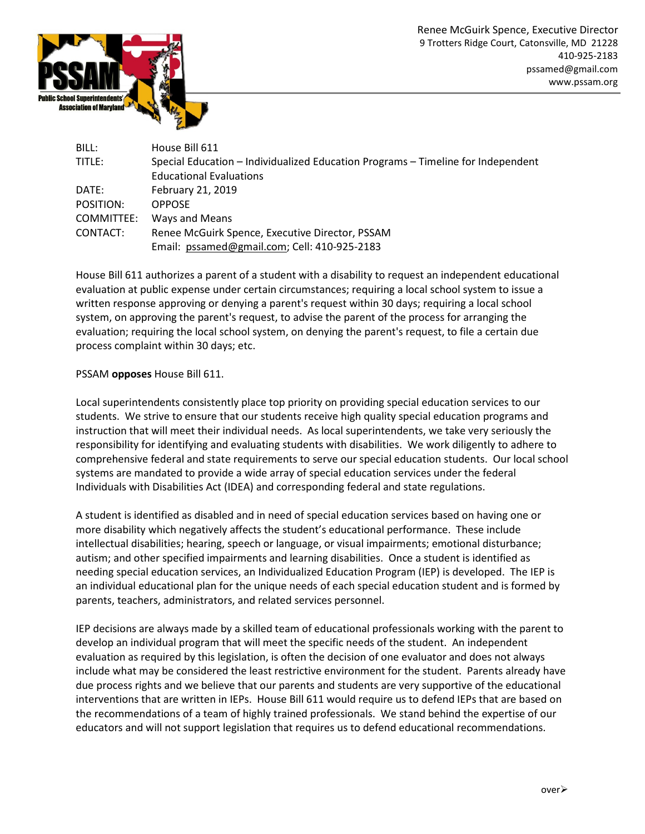

| BILL:      | House Bill 611                                                                   |
|------------|----------------------------------------------------------------------------------|
| TITLE:     | Special Education – Individualized Education Programs – Timeline for Independent |
|            | <b>Educational Evaluations</b>                                                   |
| DATE:      | February 21, 2019                                                                |
| POSITION:  | <b>OPPOSE</b>                                                                    |
| COMMITTEE: | Ways and Means                                                                   |
| CONTACT:   | Renee McGuirk Spence, Executive Director, PSSAM                                  |
|            | Email: pssamed@gmail.com; Cell: 410-925-2183                                     |

House Bill 611 authorizes a parent of a student with a disability to request an independent educational evaluation at public expense under certain circumstances; requiring a local school system to issue a written response approving or denying a parent's request within 30 days; requiring a local school system, on approving the parent's request, to advise the parent of the process for arranging the evaluation; requiring the local school system, on denying the parent's request, to file a certain due process complaint within 30 days; etc.

## PSSAM opposes House Bill 611.

Local superintendents consistently place top priority on providing special education services to our students. We strive to ensure that our students receive high quality special education programs and instruction that will meet their individual needs. As local superintendents, we take very seriously the responsibility for identifying and evaluating students with disabilities. We work diligently to adhere to comprehensive federal and state requirements to serve our special education students. Our local school systems are mandated to provide a wide array of special education services under the federal Individuals with Disabilities Act (IDEA) and corresponding federal and state regulations.

A student is identified as disabled and in need of special education services based on having one or more disability which negatively affects the student's educational performance. These include intellectual disabilities; hearing, speech or language, or visual impairments; emotional disturbance; autism; and other specified impairments and learning disabilities. Once a student is identified as needing special education services, an Individualized Education Program (IEP) is developed. The IEP is an individual educational plan for the unique needs of each special education student and is formed by parents, teachers, administrators, and related services personnel.

IEP decisions are always made by a skilled team of educational professionals working with the parent to develop an individual program that will meet the specific needs of the student. An independent evaluation as required by this legislation, is often the decision of one evaluator and does not always include what may be considered the least restrictive environment for the student. Parents already have due process rights and we believe that our parents and students are very supportive of the educational interventions that are written in IEPs. House Bill 611 would require us to defend IEPs that are based on the recommendations of a team of highly trained professionals. We stand behind the expertise of our educators and will not support legislation that requires us to defend educational recommendations.